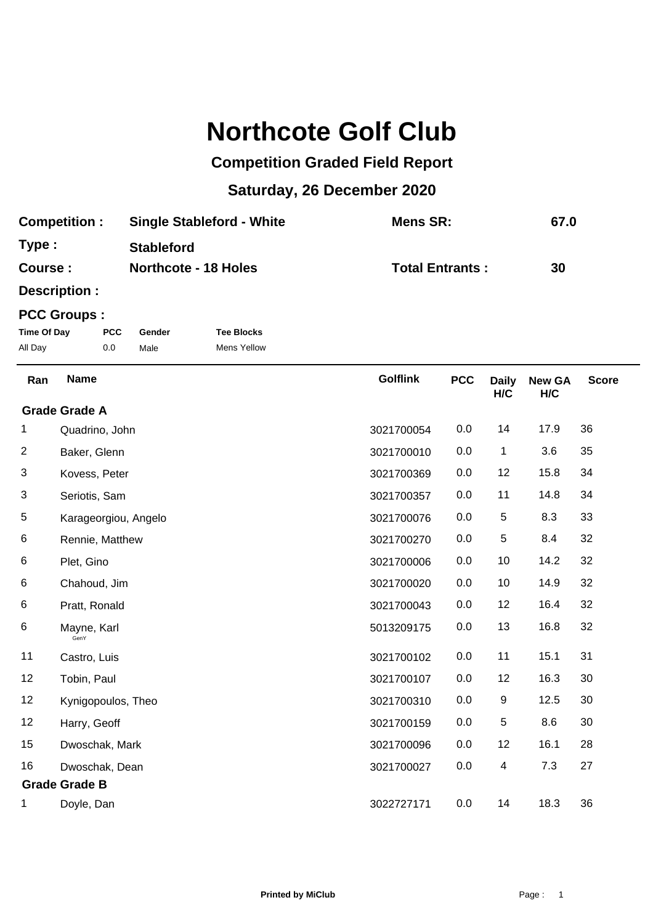## **Northcote Golf Club**

## **Competition Graded Field Report**

## **Saturday, 26 December 2020**

| <b>Competition:</b> | <b>Single Stableford - White</b> | Mens SR:               | 67.0 |
|---------------------|----------------------------------|------------------------|------|
| Type:               | <b>Stableford</b>                |                        |      |
| Course :            | <b>Northcote - 18 Holes</b>      | <b>Total Entrants:</b> | 30   |

**Description :**

## **PCC Groups :**

| Time Of Day | <b>PCC</b> | Gender | <b>Tee Blocks</b>  |
|-------------|------------|--------|--------------------|
| All Day     | 0.0        | Male   | <b>Mens Yellow</b> |

| Ran                  | <b>Name</b>          | <b>Golflink</b> | <b>PCC</b> | <b>Daily</b><br>H/C | <b>New GA</b><br>H/C | <b>Score</b> |
|----------------------|----------------------|-----------------|------------|---------------------|----------------------|--------------|
| <b>Grade Grade A</b> |                      |                 |            |                     |                      |              |
| 1.                   | Quadrino, John       | 3021700054      | 0.0        | 14                  | 17.9                 | 36           |
| $\overline{2}$       | Baker, Glenn         | 3021700010      | 0.0        | 1                   | 3.6                  | 35           |
| 3                    | Kovess, Peter        | 3021700369      | 0.0        | 12                  | 15.8                 | 34           |
| 3                    | Seriotis, Sam        | 3021700357      | 0.0        | 11                  | 14.8                 | 34           |
| 5                    | Karageorgiou, Angelo | 3021700076      | 0.0        | $\sqrt{5}$          | 8.3                  | 33           |
| 6                    | Rennie, Matthew      | 3021700270      | 0.0        | 5                   | 8.4                  | 32           |
| 6                    | Plet, Gino           | 3021700006      | 0.0        | 10                  | 14.2                 | 32           |
| 6                    | Chahoud, Jim         | 3021700020      | 0.0        | 10                  | 14.9                 | 32           |
| $\,6$                | Pratt, Ronald        | 3021700043      | 0.0        | 12                  | 16.4                 | 32           |
| $\,6$                | Mayne, Karl<br>GenY  | 5013209175      | 0.0        | 13                  | 16.8                 | 32           |
| 11                   | Castro, Luis         | 3021700102      | 0.0        | 11                  | 15.1                 | 31           |
| 12                   | Tobin, Paul          | 3021700107      | 0.0        | 12                  | 16.3                 | 30           |
| 12                   | Kynigopoulos, Theo   | 3021700310      | 0.0        | 9                   | 12.5                 | 30           |
| 12                   | Harry, Geoff         | 3021700159      | 0.0        | 5                   | 8.6                  | 30           |
| 15                   | Dwoschak, Mark       | 3021700096      | 0.0        | 12                  | 16.1                 | 28           |
| 16                   | Dwoschak, Dean       | 3021700027      | 0.0        | 4                   | 7.3                  | 27           |
| <b>Grade Grade B</b> |                      |                 |            |                     |                      |              |
| 1                    | Doyle, Dan           | 3022727171      | 0.0        | 14                  | 18.3                 | 36           |